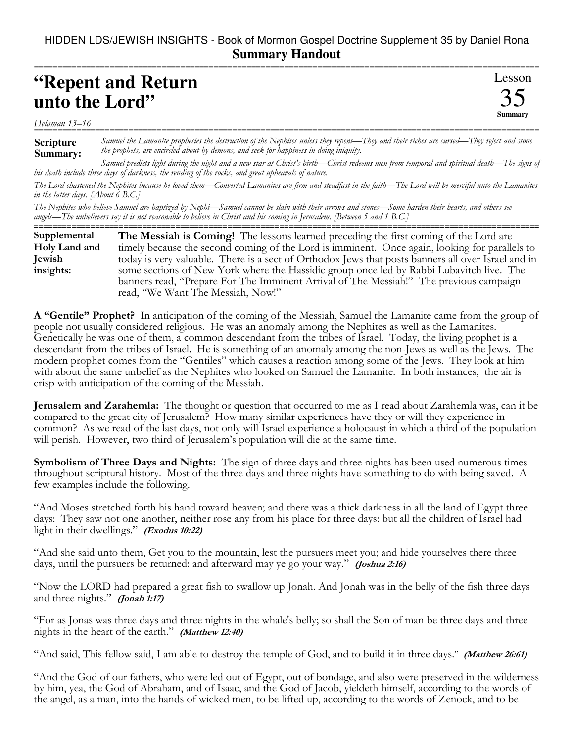## HIDDEN LDS/JEWISH INSIGHTS - Book of Mormon Gospel Doctrine Supplement 35 by Daniel Rona **Summary Handout** ===========================================================================================================

## **"Repent and Return unto the Lord"**

## *Helaman 13–16* ===========================================================================================================

**Scripture Summary:** *Samuel the Lamanite prophesies the destruction of the Nephites unless they repent—They and their riches are cursed—They reject and stone the prophets, are encircled about by demons, and seek for happiness in doing iniquity.*

*Samuel predicts light during the night and a new star at Christ's birth—Christ redeems men from temporal and spiritual death—The signs of his death include three days of darkness, the rending of the rocks, and great upheavals of nature.*

*The Lord chastened the Nephites because he loved them—Converted Lamanites are firm and steadfast in the faith—The Lord will be merciful unto the Lamanites in the latter days. [About 6 B.C.]*

*The Nephites who believe Samuel are baptized by Nephi—Samuel cannot be slain with their arrows and stones—Some harden their hearts, and others see angels—The unbelievers say it is not reasonable to believe in Christ and his coming in Jerusalem. [Between 5 and 1 B.C.]* ===========================================================================================================

**The Messiah is Coming!** The lessons learned preceding the first coming of the Lord are timely because the second coming of the Lord is imminent. Once again, looking for parallels to today is very valuable. There is a sect of Orthodox Jews that posts banners all over Israel and in some sections of New York where the Hassidic group once led by Rabbi Lubavitch live. The banners read, "Prepare For The Imminent Arrival of The Messiah!" The previous campaign read, "We Want The Messiah, Now!" **Supplemental Holy Land and Jewish insights:**

**A "Gentile" Prophet?** In anticipation of the coming of the Messiah, Samuel the Lamanite came from the group of people not usually considered religious. He was an anomaly among the Nephites as well as the Lamanites. Genetically he was one of them, a common descendant from the tribes of Israel. Today, the living prophet is a descendant from the tribes of Israel. He is something of an anomaly among the non-Jews as well as the Jews. The modern prophet comes from the "Gentiles" which causes a reaction among some of the Jews. They look at him with about the same unbelief as the Nephites who looked on Samuel the Lamanite. In both instances, the air is crisp with anticipation of the coming of the Messiah.

**Jerusalem and Zarahemla:** The thought or question that occurred to me as I read about Zarahemla was, can it be compared to the great city of Jerusalem? How many similar experiences have they or will they experience in common? As we read of the last days, not only will Israel experience a holocaust in which a third of the population will perish. However, two third of Jerusalem's population will die at the same time.

**Symbolism of Three Days and Nights:** The sign of three days and three nights has been used numerous times throughout scriptural history. Most of the three days and three nights have something to do with being saved. A few examples include the following.

"And Moses stretched forth his hand toward heaven; and there was a thick darkness in all the land of Egypt three days: They saw not one another, neither rose any from his place for three days: but all the children of Israel had light in their dwellings." **(Exodus 10:22)**

"And she said unto them, Get you to the mountain, lest the pursuers meet you; and hide yourselves there three days, until the pursuers be returned: and afterward may ye go your way." **(Joshua 2:16)**

"Now the LORD had prepared a great fish to swallow up Jonah. And Jonah was in the belly of the fish three days and three nights." **(Jonah 1:17)**

"For as Jonas was three days and three nights in the whale's belly; so shall the Son of man be three days and three nights in the heart of the earth." **(Matthew 12:40)**

"And said, This fellow said, I am able to destroy the temple of God, and to build it in three days." **(Matthew 26:61)**

"And the God of our fathers, who were led out of Egypt, out of bondage, and also were preserved in the wilderness by him, yea, the God of Abraham, and of Isaac, and the God of Jacob, yieldeth himself, according to the words of the angel, as a man, into the hands of wicked men, to be lifted up, according to the words of Zenock, and to be